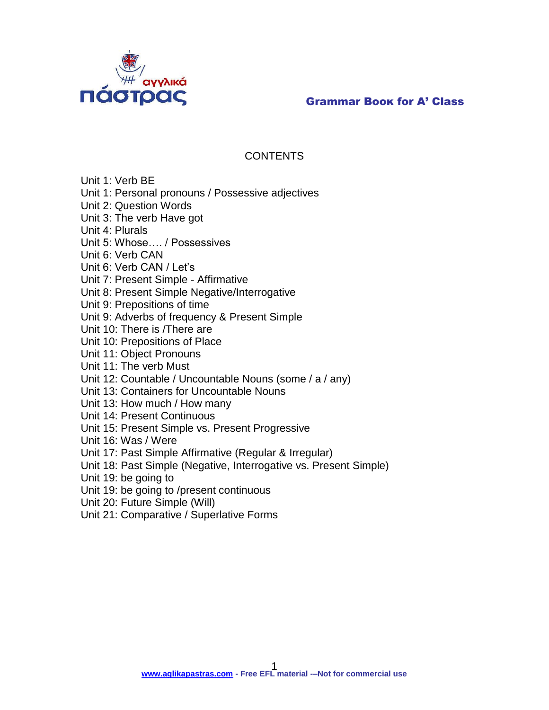

## **CONTENTS**

Unit 1: Verb BE

Unit 1: Personal pronouns / Possessive adjectives

Unit 2: Question Words

Unit 3: The verb Have got

Unit 4: Plurals

Unit 5: Whose…. / Possessives

Unit 6: Verb CAN

Unit 6: Verb CAN / Let's

Unit 7: Present Simple - Affirmative

Unit 8: Present Simple Negative/Interrogative

Unit 9: Prepositions of time

Unit 9: Adverbs of frequency & Present Simple

Unit 10: There is /There are

Unit 10: Prepositions of Place

Unit 11: Object Pronouns

Unit 11: The verb Must

Unit 12: Countable / Uncountable Nouns (some / a / any)

Unit 13: Containers for Uncountable Nouns

Unit 13: How much / How many

Unit 14: Present Continuous

Unit 15: Present Simple vs. Present Progressive

Unit 16: Was / Were

Unit 17: Past Simple Affirmative (Regular & Irregular)

Unit 18: Past Simple (Negative, Interrogative vs. Present Simple)

Unit 19: be going to

Unit 19: be going to /present continuous

Unit 20: Future Simple (Will)

Unit 21: Comparative / Superlative Forms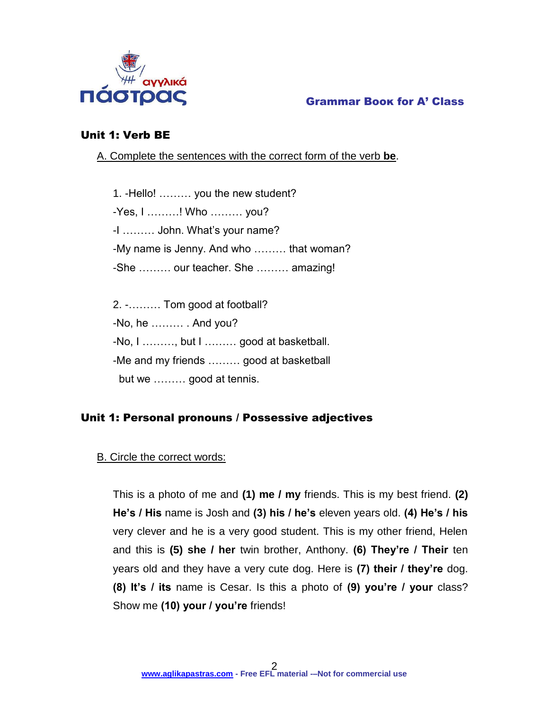

## Unit 1: Verb BE

A. Complete the sentences with the correct form of the verb **be**.

1. -Hello! ……… you the new student? -Yes, I ………! Who ……… you? -I ……… John. What's your name? -My name is Jenny. And who ……… that woman? -She ……… our teacher. She ……… amazing!

2. -……… Tom good at football? -No, he ……… . And you? -No, I ………, but I ……… good at basketball. -Me and my friends ……… good at basketball but we ……… good at tennis.

## Unit 1: Personal pronouns / Possessive adjectives

## B. Circle the correct words:

This is a photo of me and **(1) me / my** friends. This is my best friend. **(2) He's / His** name is Josh and **(3) his / he's** eleven years old. **(4) He's / his** very clever and he is a very good student. This is my other friend, Helen and this is **(5) she / her** twin brother, Anthony. **(6) They're / Their** ten years old and they have a very cute dog. Here is **(7) their / they're** dog. **(8) It's / its** name is Cesar. Is this a photo of **(9) you're / your** class? Show me **(10) your / you're** friends!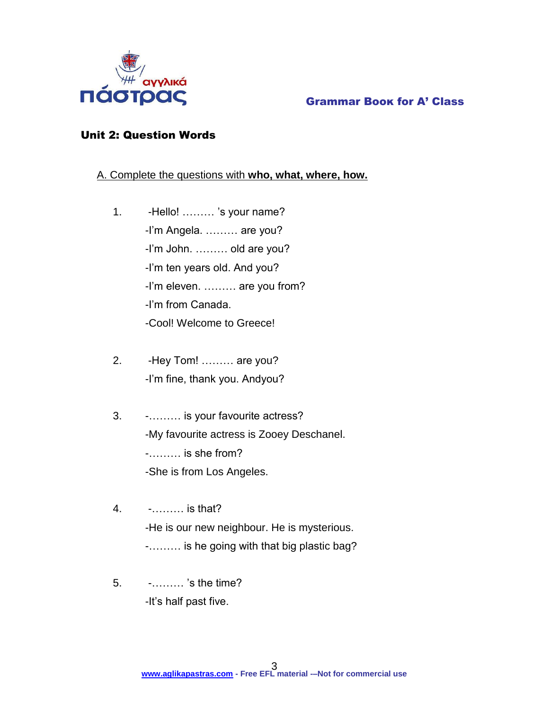

## Unit 2: Question Words

## A. Complete the questions with **who, what, where, how.**

- 1. -Hello! ……… 's your name? -I'm Angela. ……… are you? -I'm John. ……… old are you? -I'm ten years old. And you? -I'm eleven. ……… are you from? -I'm from Canada. -Cool! Welcome to Greece!
- 2. -Hey Tom! ……… are you? -I'm fine, thank you. Andyou?
- 3. -……… is your favourite actress? -My favourite actress is Zooey Deschanel. -……… is she from? -She is from Los Angeles.
- 4. -……… is that? -He is our new neighbour. He is mysterious. -……… is he going with that big plastic bag?
- 5. -……… 's the time? -It's half past five.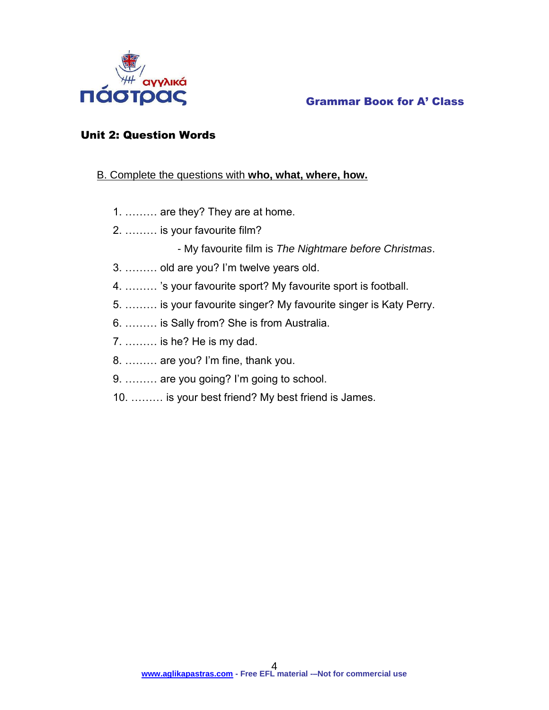

## Unit 2: Question Words

## B. Complete the questions with **who, what, where, how.**

- 1. ……… are they? They are at home.
- 2. ……… is your favourite film?
	- My favourite film is *The Nightmare before Christmas*.
- 3. ……… old are you? I'm twelve years old.
- 4. ……… 's your favourite sport? My favourite sport is football.
- 5. ……… is your favourite singer? My favourite singer is Katy Perry.
- 6. ……… is Sally from? She is from Australia.
- 7. ……… is he? He is my dad.
- 8. ……… are you? I'm fine, thank you.
- 9. ……… are you going? I'm going to school.
- 10. ……… is your best friend? My best friend is James.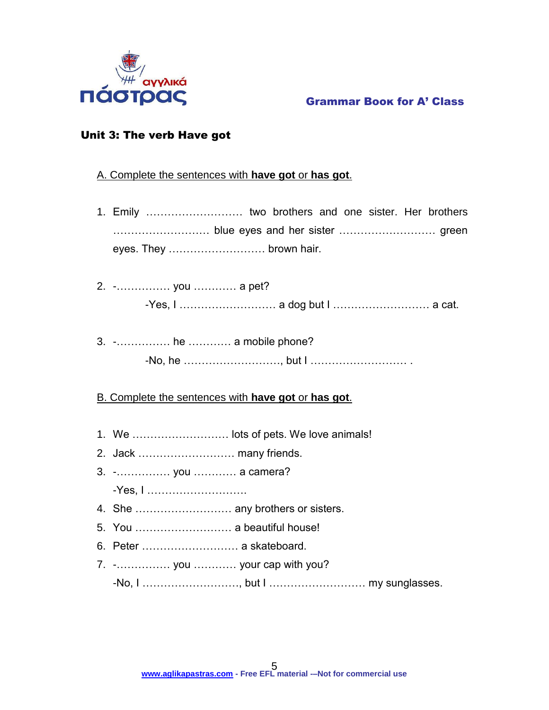

## Grammar Βοοκ for A' Class

## Unit 3: The verb Have got

## A. Complete the sentences with **have got** or **has got**.

- 1. Emily ……………………… two brothers and one sister. Her brothers ……………………… blue eyes and her sister ……………………… green eyes. They ……………………… brown hair.
- 2. -…………… you ………… a pet? -Yes, I ……………………… a dog but I ……………………… a cat.
- 3. -…………… he ………… a mobile phone? -No, he ………………………, but I ……………………… .

## B. Complete the sentences with **have got** or **has got**.

- 1. We ……………………… lots of pets. We love animals!
- 2. Jack ……………………… many friends.
- 3. -…………… you ………… a camera?

-Yes, I ……………………….

- 4. She ……………………… any brothers or sisters.
- 5. You ……………………… a beautiful house!
- 6. Peter ……………………… a skateboard.
- 7. -…………… you ………… your cap with you? -No, I ………………………, but I ……………………… my sunglasses.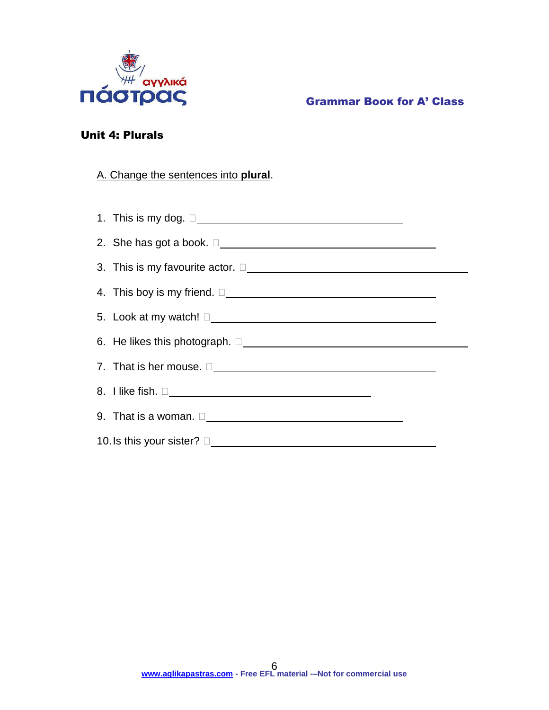

## Unit 4: Plurals

## A. Change the sentences into **plural**.

| 1. This is my dog. $\square$                                                                                                                                                                                                         |  |
|--------------------------------------------------------------------------------------------------------------------------------------------------------------------------------------------------------------------------------------|--|
| 2. She has got a book. $\square$                                                                                                                                                                                                     |  |
| 3. This is my favourite actor. $\square$                                                                                                                                                                                             |  |
| 4. This boy is my friend. $\square$                                                                                                                                                                                                  |  |
| 5. Look at my watch! $\square$                                                                                                                                                                                                       |  |
| 6. He likes this photograph. $\square$                                                                                                                                                                                               |  |
| 7. That is her mouse. $\square$                                                                                                                                                                                                      |  |
|                                                                                                                                                                                                                                      |  |
| 9. That is a woman. <u>Decree and the set of the set of the set of the set of the set of the set of the set of the set of the set of the set of the set of the set of the set of the set of the set of the set of the set of the</u> |  |
|                                                                                                                                                                                                                                      |  |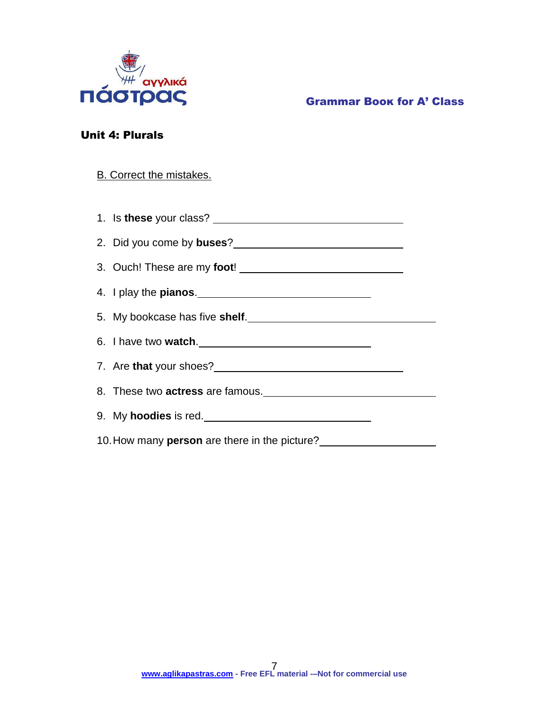

## Unit 4: Plurals

## B. Correct the mistakes.

1. Is **these** your class?

- 2. Did you come by **buses**?
- 3. Ouch! These are my **foot**!
- 4. I play the **pianos**.
- 5. My bookcase has five **shelf**.
- 6. I have two **watch**.
- 7. Are **that** your shoes?
- 8. These two **actress** are famous.
- 9. My **hoodies** is red.
- 10.How many **person** are there in the picture?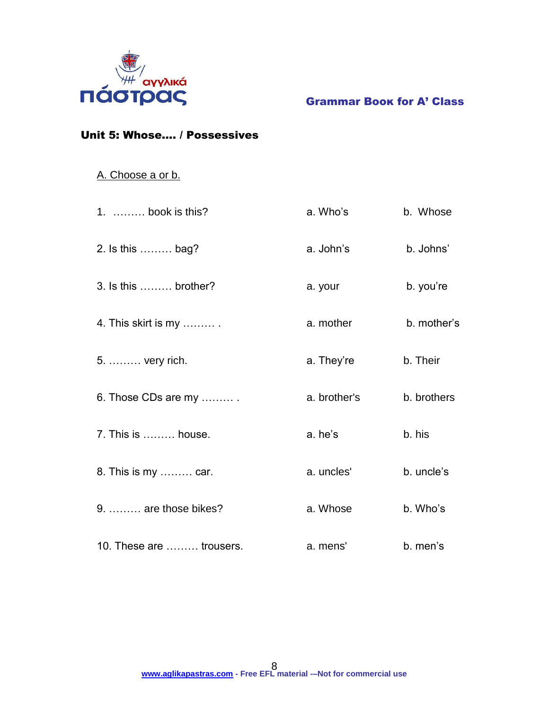

## Unit 5: Whose…. / Possessives

## A. Choose a or b.

| 1.  book is this?        | a. Who's     | b. Whose    |
|--------------------------|--------------|-------------|
| 2. Is this  bag?         | a. John's    | b. Johns'   |
| $3.$ Is this  brother?   | a. your      | b. you're   |
| 4. This skirt is my      | a. mother    | b. mother's |
| 5.  very rich.           | a. They're   | b. Their    |
| 6. Those CDs are my      | a. brother's | b. brothers |
| 7. This is  house.       | a. he's      | b. his      |
| 8. This is my  car.      | a. uncles'   | b. uncle's  |
| 9.  are those bikes?     | a. Whose     | b. Who's    |
| 10. These are  trousers. | a. mens'     | b. men's    |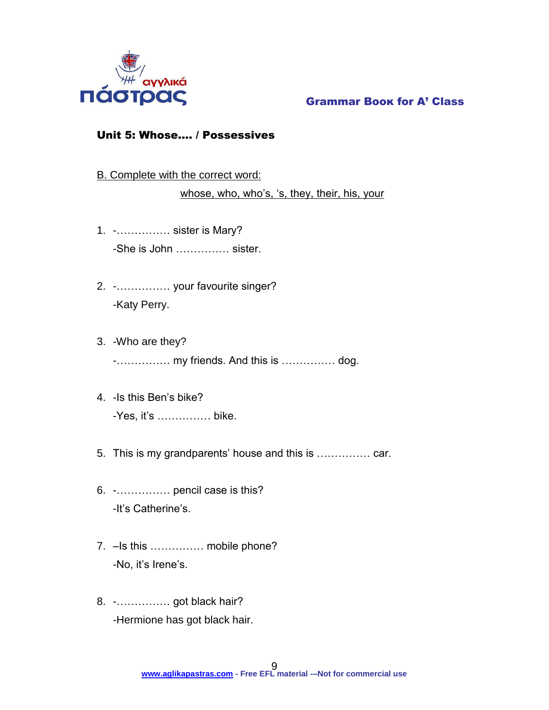

## Unit 5: Whose…. / Possessives

B. Complete with the correct word:

whose, who, who's, 's, they, their, his, your

- 1. -…………… sister is Mary? -She is John …………… sister.
- 2. -…………… your favourite singer? -Katy Perry.
- 3. -Who are they? -…………… my friends. And this is …………… dog.
- 4. -Is this Ben's bike? -Yes, it's …………… bike.
- 5. This is my grandparents' house and this is …………… car.
- 6. -…………… pencil case is this? -It's Catherine's.
- 7. –Is this …………… mobile phone? -No, it's Irene's.
- 8. -…………… got black hair? -Hermione has got black hair.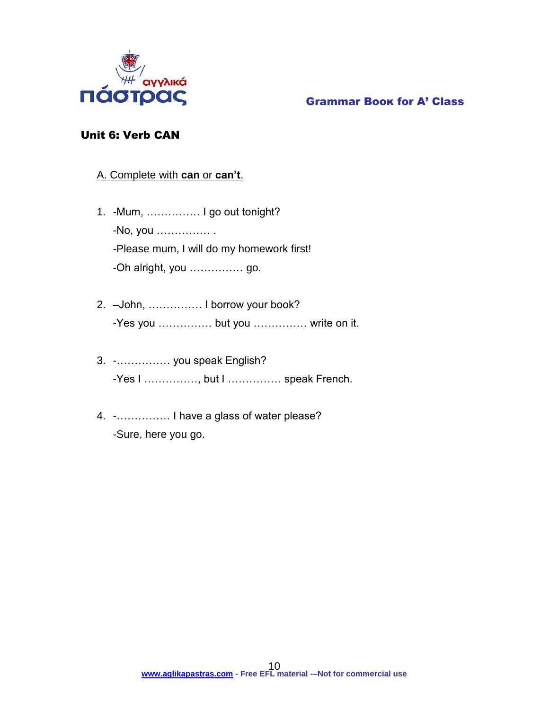

## Unit 6: Verb CAN

## A. Complete with **can** or **can't**.

- 1. -Mum, …………… I go out tonight? -No, you …………… . -Please mum, I will do my homework first! -Oh alright, you …………… go.
- 2. –John, …………… I borrow your book? -Yes you …………… but you …………… write on it.
- 3. -…………… you speak English? -Yes I ……………, but I …………… speak French.
- 4. -…………… I have a glass of water please? -Sure, here you go.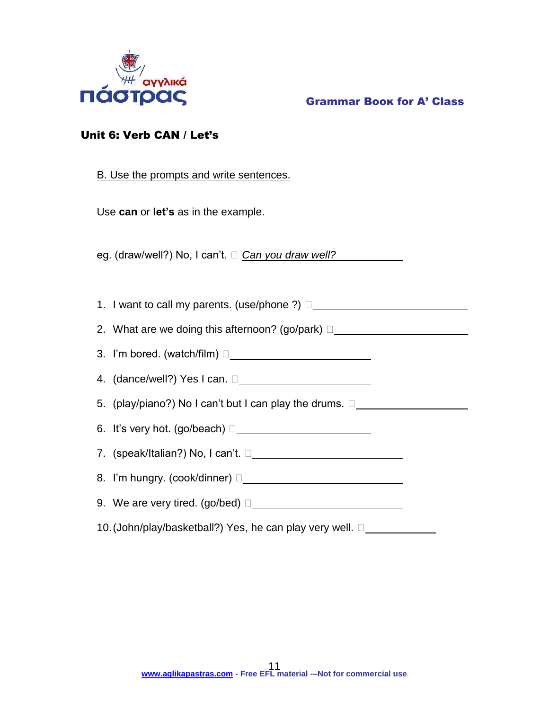

Grammar Βοοκ for A' Class

## Unit 6: Verb CAN / Let's

## B. Use the prompts and write sentences.

Use **can** or **let's** as in the example.

eg. (draw/well?) No, I can't. □ *Can you draw well?* 

1. I want to call my parents. (use/phone ?)  $\square$ 

2. What are we doing this afternoon? (go/park) □

3. I'm bored. (watch/film)  $\Box$ 

4. (dance/well?) Yes I can. □ <u>\_\_\_\_\_\_\_\_\_\_\_\_\_\_\_\_\_\_\_\_\_\_\_\_\_\_\_\_\_\_\_\_\_\_</u>

5. (play/piano?) No I can't but I can play the drums.  $\square$ 

6. It's very hot. (go/beach)  $\square$ 

7. (speak/Italian?) No, I can't.

8. I'm hungry. (cook/dinner)

9. We are very tired. (go/bed)  $\Box$ 

10. (John/play/basketball?) Yes, he can play very well. □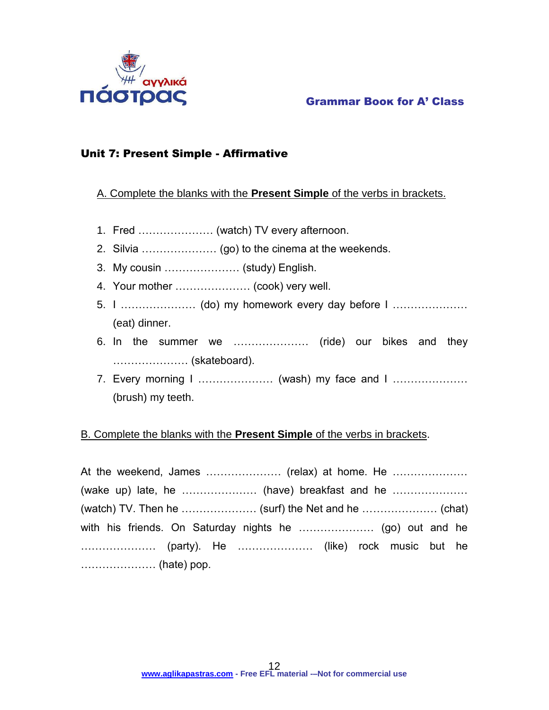

## Grammar Βοοκ for A' Class

## Unit 7: Present Simple - Affirmative

A. Complete the blanks with the **Present Simple** of the verbs in brackets.

- 1. Fred ………………… (watch) TV every afternoon.
- 2. Silvia ………………… (go) to the cinema at the weekends.
- 3. My cousin ………………… (study) English.
- 4. Your mother ………………… (cook) very well.
- 5. I ………………… (do) my homework every day before I ………………… (eat) dinner.
- 6. In the summer we ………………… (ride) our bikes and they ………………… (skateboard).
- 7. Every morning I ………………… (wash) my face and I ………………… (brush) my teeth.

## B. Complete the blanks with the **Present Simple** of the verbs in brackets.

At the weekend, James ………………… (relax) at home. He ………………… (wake up) late, he ………………… (have) breakfast and he ………………… (watch) TV. Then he ………………… (surf) the Net and he ………………… (chat) with his friends. On Saturday nights he ………………… (go) out and he ………………… (party). He ………………… (like) rock music but he ………………… (hate) pop.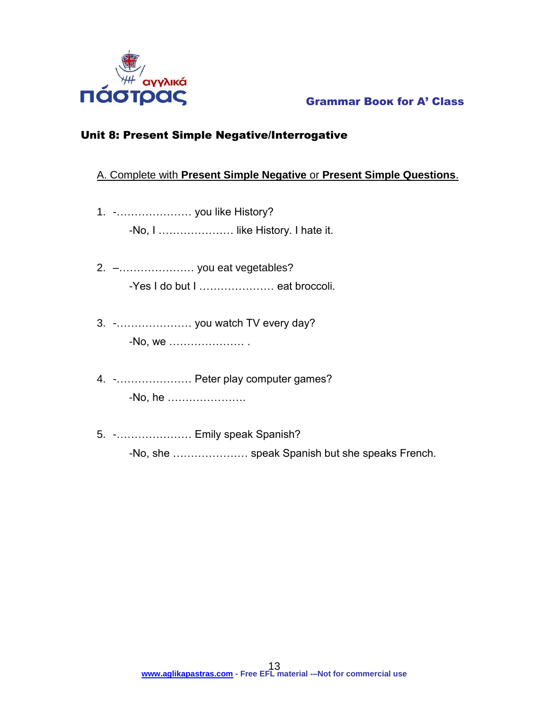

## Unit 8: Present Simple Negative/Interrogative

## A. Complete with **Present Simple Negative** or **Present Simple Questions**.

- 1. -………………… you like History? -No, I ………………… like History. I hate it.
- 2. –………………… you eat vegetables? -Yes I do but I ………………… eat broccoli.
- 3. -………………… you watch TV every day? -No, we ………………… .
- 4. -………………… Peter play computer games? -No, he ………………….
- 5. -………………… Emily speak Spanish? -No, she ………………… speak Spanish but she speaks French.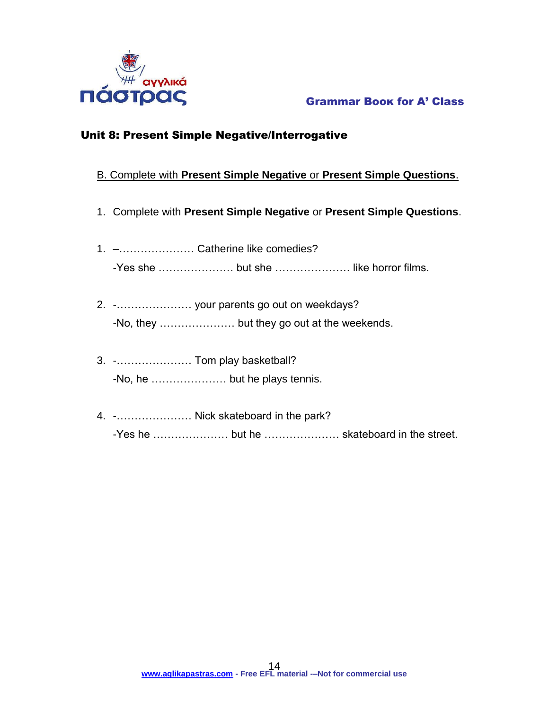

## Unit 8: Present Simple Negative/Interrogative

## B. Complete with **Present Simple Negative** or **Present Simple Questions**.

- 1. Complete with **Present Simple Negative** or **Present Simple Questions**.
- 1. –………………… Catherine like comedies? -Yes she ………………… but she ………………… like horror films.
- 2. -………………… your parents go out on weekdays? -No, they ………………… but they go out at the weekends.
- 3. -………………… Tom play basketball? -No, he ………………… but he plays tennis.
- 4. -………………… Nick skateboard in the park? -Yes he ………………… but he ………………… skateboard in the street.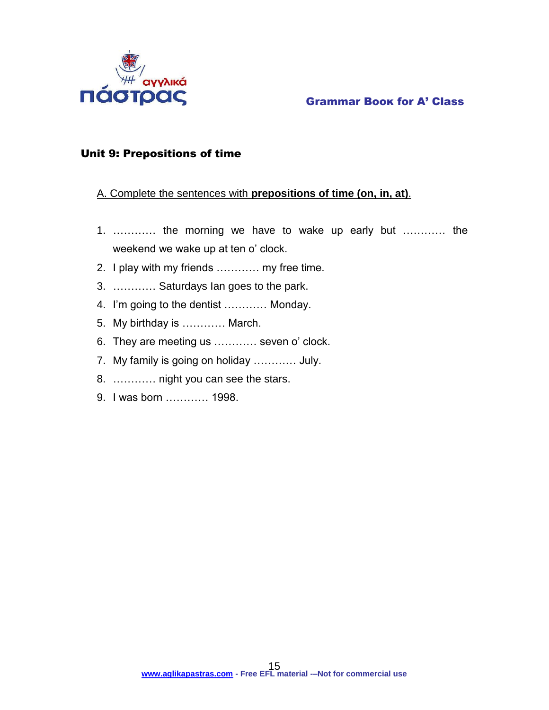

## Unit 9: Prepositions of time

## A. Complete the sentences with **prepositions of time (on, in, at)**.

- 1. ………… the morning we have to wake up early but ………… the weekend we wake up at ten o' clock.
- 2. I play with my friends ………… my free time.
- 3. ………… Saturdays Ian goes to the park.
- 4. I'm going to the dentist ………… Monday.
- 5. My birthday is ………… March.
- 6. They are meeting us ………… seven o' clock.
- 7. My family is going on holiday ………… July.
- 8. ………… night you can see the stars.
- 9. I was born ………… 1998.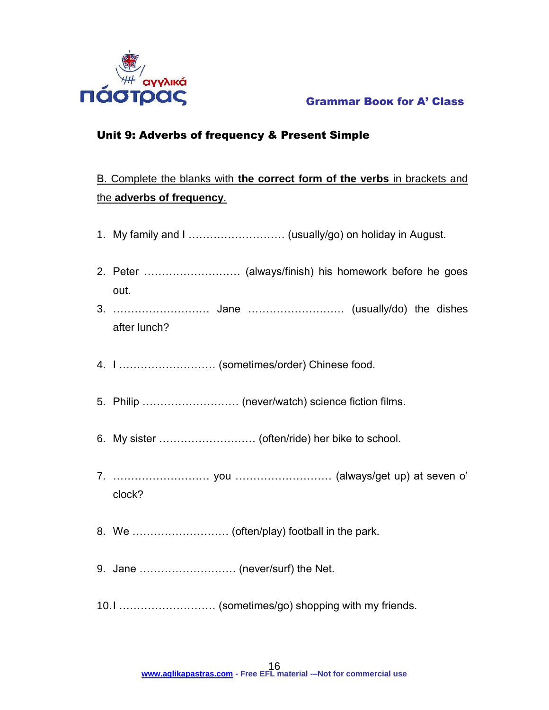

## Unit 9: Adverbs of frequency & Present Simple

## Β. Complete the blanks with **the correct form of the verbs** in brackets and the **adverbs of frequency**.

| out.                                  |  |  |  |  |  |  |  |  |  |  |
|---------------------------------------|--|--|--|--|--|--|--|--|--|--|
| after lunch?                          |  |  |  |  |  |  |  |  |  |  |
| 4. I  (sometimes/order) Chinese food. |  |  |  |  |  |  |  |  |  |  |
|                                       |  |  |  |  |  |  |  |  |  |  |
|                                       |  |  |  |  |  |  |  |  |  |  |
| clock?                                |  |  |  |  |  |  |  |  |  |  |
|                                       |  |  |  |  |  |  |  |  |  |  |
|                                       |  |  |  |  |  |  |  |  |  |  |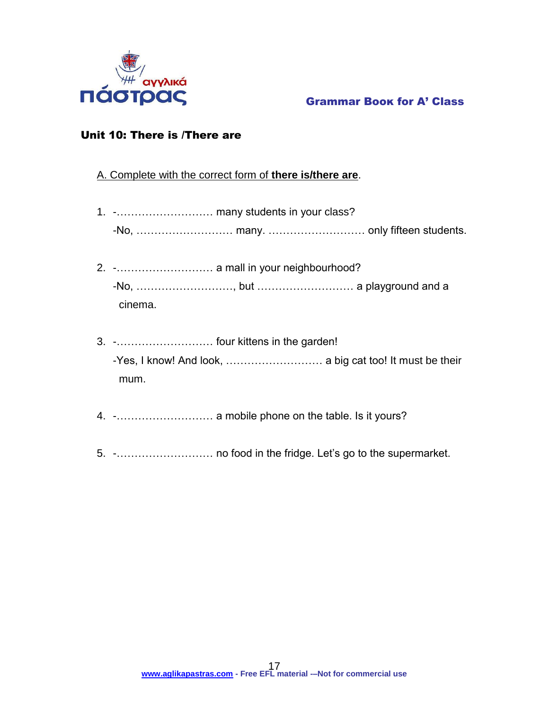

## Unit 10: There is /There are

## A. Complete with the correct form of **there is/there are**.

- 1. -……………………… many students in your class? -No, ……………………… many. ……………………… only fifteen students.
- 2. -……………………… a mall in your neighbourhood? -No, ………………………, but ……………………… a playground and a cinema.
- 3. -……………………… four kittens in the garden! -Yes, I know! And look, ……………………… a big cat too! It must be their mum.
- 4. -……………………… a mobile phone on the table. Is it yours?
- 5. -……………………… no food in the fridge. Let's go to the supermarket.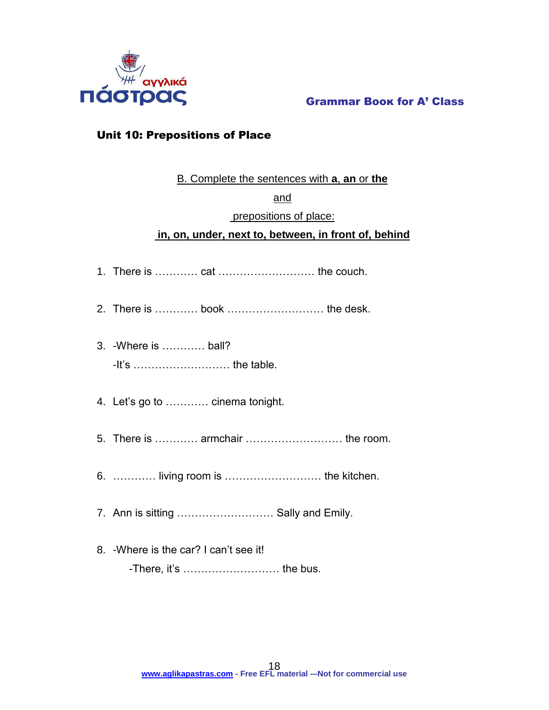

## Unit 10: Prepositions of Place

## B. Complete the sentences with **a**, **an** or **the**

## and

## prepositions of place:

## **in, on, under, next to, between, in front of, behind**

- 1. There is ………… cat ……………………… the couch.
- 2. There is ………… book ……………………… the desk.
- 3. -Where is ………… ball? -It's ……………………… the table.
- 4. Let's go to ………… cinema tonight.
- 5. There is ………… armchair ……………………… the room.
- 6. ………… living room is ……………………… the kitchen.
- 7. Ann is sitting ……………………… Sally and Emily.
- 8. -Where is the car? I can't see it! -There, it's ……………………… the bus.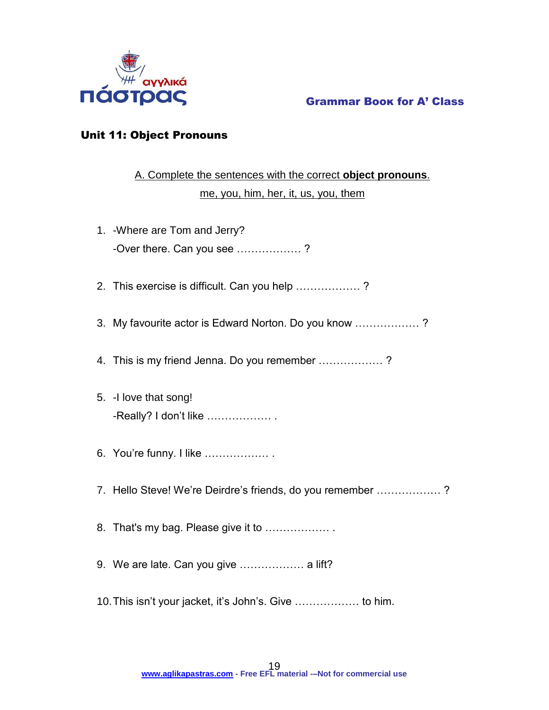

## Unit 11: Object Pronouns

## A. Complete the sentences with the correct **object pronouns**. me, you, him, her, it, us, you, them

| 1. - Where are Tom and Jerry?<br>-Over there. Can you see ? |
|-------------------------------------------------------------|
| 2. This exercise is difficult. Can you help ?               |
| 3. My favourite actor is Edward Norton. Do you know ?       |
| 4. This is my friend Jenna. Do you remember ?               |
| 5. - I love that song!<br>-Really? I don't like             |
| 6. You're funny. I like                                     |
| 7. Hello Steve! We're Deirdre's friends, do you remember ?  |
| 8. That's my bag. Please give it to                         |
| 9. We are late. Can you give  a lift?                       |
| 10. This isn't your jacket, it's John's. Give  to him.      |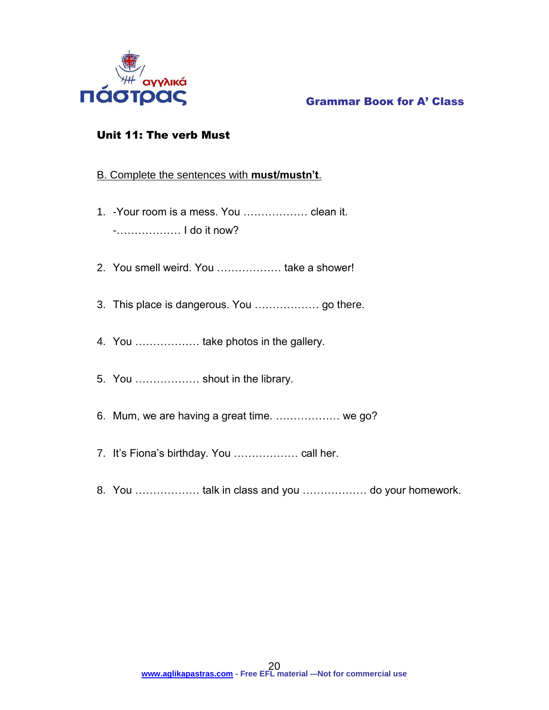

## Unit 11: The verb Must

## B. Complete the sentences with **must/mustn't**.

- 1. -Your room is a mess. You ……………… clean it. -……………… I do it now?
- 2. You smell weird. You ……………… take a shower!
- 3. This place is dangerous. You ……………… go there.
- 4. You ……………… take photos in the gallery.
- 5. You ……………… shout in the library.
- 6. Mum, we are having a great time. ……………… we go?
- 7. It's Fiona's birthday. You ……………… call her.
- 8. You ……………… talk in class and you ……………… do your homework.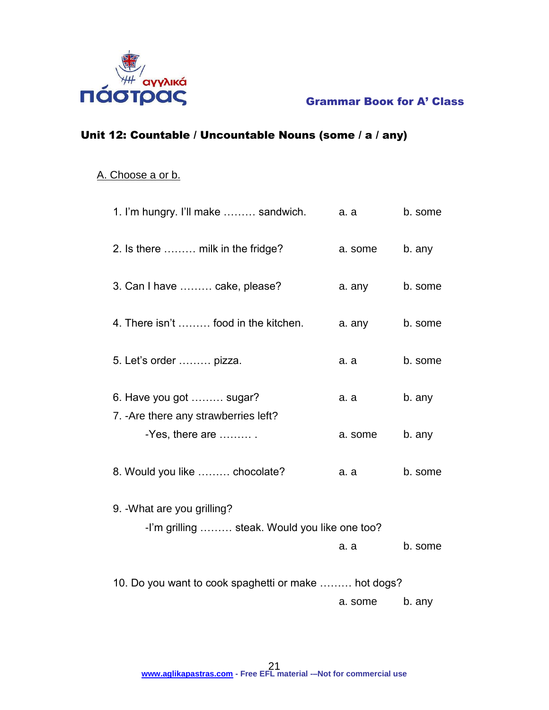

## Unit 12: Countable / Uncountable Nouns (some / a / any)

## A. Choose a or b.

| 1. I'm hungry. I'll make  sandwich.                  | a. a    | b. some |
|------------------------------------------------------|---------|---------|
| 2. Is there  milk in the fridge?                     | a. some | b. any  |
| 3. Can I have  cake, please?                         | a. any  | b. some |
| 4. There isn't  food in the kitchen.                 | a. any  | b. some |
| 5. Let's order  pizza.                               | а. а    | b. some |
| 6. Have you got  sugar?                              | a. a    | b. any  |
| 7. - Are there any strawberries left?                |         |         |
| -Yes, there are $\dots\dots\dots$ .                  | a. some | b. any  |
| 8. Would you like  chocolate?                        | a. a    | b. some |
| 9. - What are you grilling?                          |         |         |
| -I'm grilling  steak. Would you like one too?        |         |         |
|                                                      | a. a    | b. some |
| 10. Do you want to cook spaghetti or make  hot dogs? |         |         |
|                                                      | a. some | b. any  |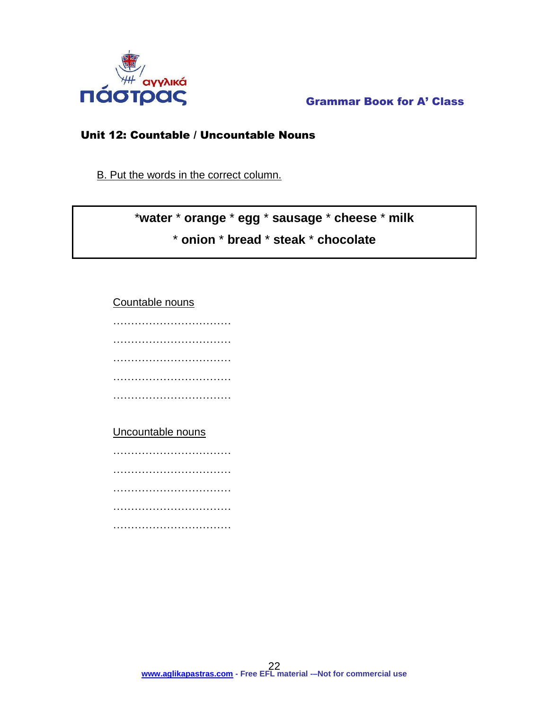

## Unit 12: Countable / Uncountable Nouns

B. Put the words in the correct column.

## \***water** \* **orange** \* **egg** \* **sausage** \* **cheese** \* **milk** \* **onion** \* **bread** \* **steak** \* **chocolate**

Countable nouns

……………………………………… …………………………… …………………………… ………………………………………… ……………………………………

## Uncountable nouns

…………………………………… ………………………………………… …………………………… …………………………… ……………………………………………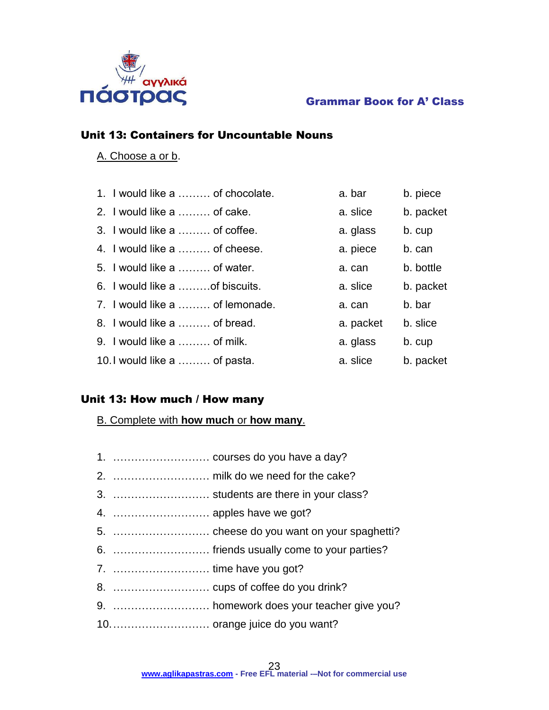

## Unit 13: Containers for Uncountable Nouns

## A. Choose a or b.

| 1. I would like a  of chocolate. | a. bar    | b. piece  |
|----------------------------------|-----------|-----------|
| 2. I would like a  of cake.      | a. slice  | b. packet |
| 3. I would like a  of coffee.    | a. glass  | b. cup    |
| 4. I would like a  of cheese.    | a. piece  | b. can    |
| 5. I would like a  of water.     | a. can    | b. bottle |
| 6. I would like a  of biscuits.  | a. slice  | b. packet |
| 7. I would like a  of lemonade.  | a. can    | b. bar    |
| 8. I would like a  of bread.     | a. packet | b. slice  |
| 9. I would like a  of milk.      | a. glass  | b. cup    |
| 10.1 would like a  of pasta.     | a. slice  | b. packet |

## Unit 13: How much / How many

B. Complete with **how much** or **how many**.

| 3.  students are there in your class?     |
|-------------------------------------------|
| 4.  apples have we got?                   |
|                                           |
| 6.  friends usually come to your parties? |
| 7.  time have you got?                    |
|                                           |
|                                           |
|                                           |
|                                           |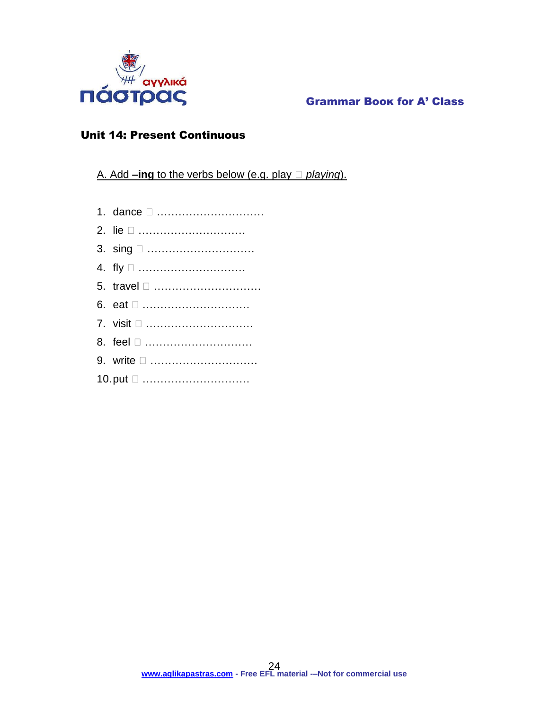

## Unit 14: Present Continuous

A. Add **–ing** to the verbs below (e.g. play *playing*).

- 1. dance …………………………
- 2. lie …………………………
- 3. sing …………………………
- 4. fly □ …………………………
- 5. travel …………………………
- 6. eat …………………………
- 7. visit □ ………………………
- 8. feel □ ………………………
- 9. write □ ………………………
- 10. put □ …………………………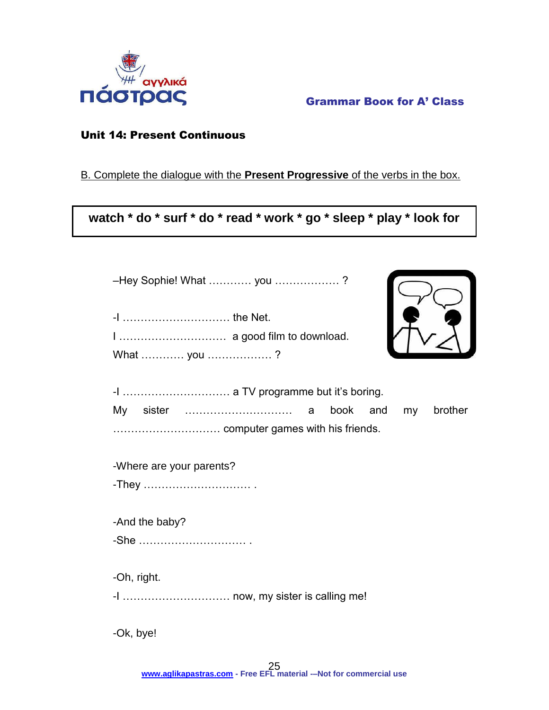

## Unit 14: Present Continuous

## B. Complete the dialogue with the **Present Progressive** of the verbs in the box.

**watch \* do \* surf \* do \* read \* work \* go \* sleep \* play \* look for**

| -Hey Sophie! What  you ? |         |
|--------------------------|---------|
| -1  the Net.             |         |
|                          |         |
| What  you ?              |         |
|                          |         |
| book and my              | brother |
|                          |         |
| -Where are your parents? |         |
|                          |         |
| -And the baby?           |         |
| -She                     |         |
|                          |         |
| -Oh, right.              |         |
|                          |         |
| -Ok, bye!                |         |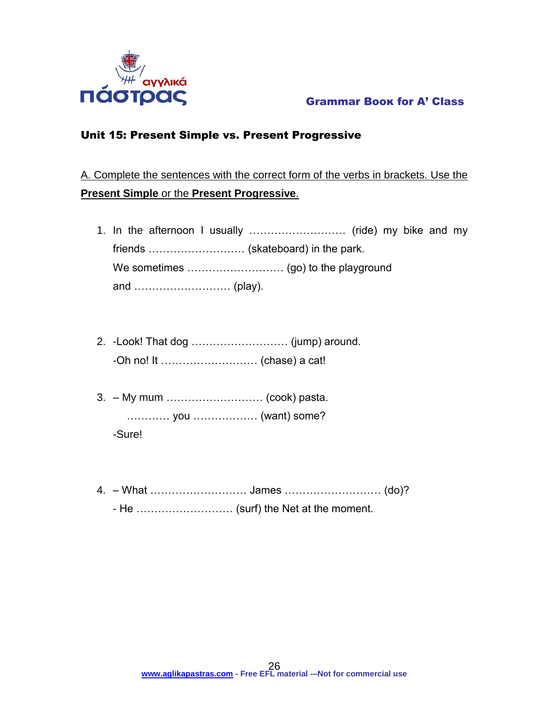

## Unit 15: Present Simple vs. Present Progressive

A. Complete the sentences with the correct form of the verbs in brackets. Use the **Present Simple** or the **Present Progressive**.

- 1. In the afternoon I usually ……………………… (ride) my bike and my friends ................................ (skateboard) in the park. We sometimes ……………………… (go) to the playground and ……………………… (play).
- 2. -Look! That dog ……………………… (jump) around. -Oh no! It ……………………… (chase) a cat!
- 3. My mum ……………………… (cook) pasta. ………… you ……………… (want) some? -Sure!
- 4. What ……………………… James ……………………… (do)? - He ……………………… (surf) the Net at the moment.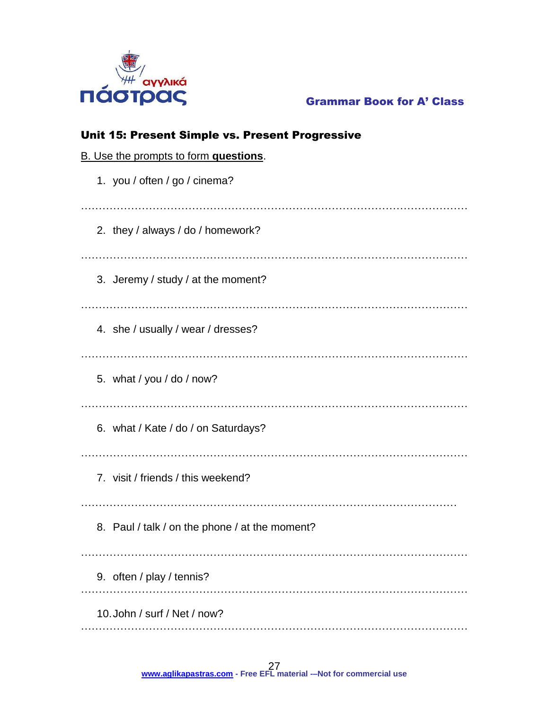

| Unit 15: Present Simple vs. Present Progressive |  |  |  |  |  |  |  |
|-------------------------------------------------|--|--|--|--|--|--|--|
| B. Use the prompts to form questions.           |  |  |  |  |  |  |  |
| 1. you / often / go / cinema?                   |  |  |  |  |  |  |  |
| 2. they / always / do / homework?               |  |  |  |  |  |  |  |
| 3. Jeremy / study / at the moment?              |  |  |  |  |  |  |  |
| 4. she / usually / wear / dresses?              |  |  |  |  |  |  |  |
| 5. what / you / do / now?                       |  |  |  |  |  |  |  |
| 6. what / Kate / do / on Saturdays?             |  |  |  |  |  |  |  |
| 7. visit / friends / this weekend?              |  |  |  |  |  |  |  |
| 8. Paul / talk / on the phone / at the moment?  |  |  |  |  |  |  |  |
| 9. often / play / tennis?                       |  |  |  |  |  |  |  |
| 10. John / surf / Net / now?                    |  |  |  |  |  |  |  |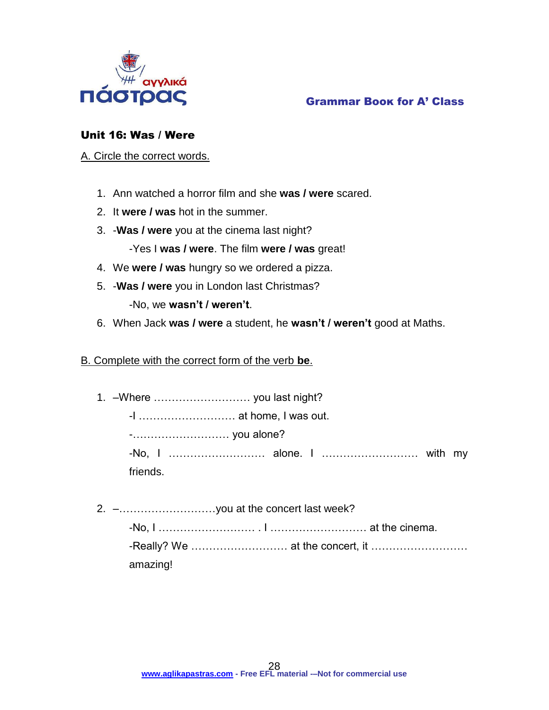

## Grammar Βοοκ for A' Class

## Unit 16: Was / Were

A. Circle the correct words.

- 1. Ann watched a horror film and she **was / were** scared.
- 2. It **were / was** hot in the summer.
- 3. -**Was / were** you at the cinema last night?

-Yes I **was / were**. The film **were / was** great!

- 4. We **were / was** hungry so we ordered a pizza.
- 5. -**Was / were** you in London last Christmas?

-No, we **wasn't / weren't**.

6. When Jack **was / were** a student, he **wasn't / weren't** good at Maths.

## B. Complete with the correct form of the verb **be**.

1. –Where ……………………… you last night?

-I ……………………… at home, I was out.

-……………………… you alone?

-No, I ……………………… alone. I ……………………… with my friends.

2. –………………………you at the concert last week? -No, I ……………………… . I ……………………… at the cinema.

-Really? We ……………………… at the concert, it ……………………… amazing!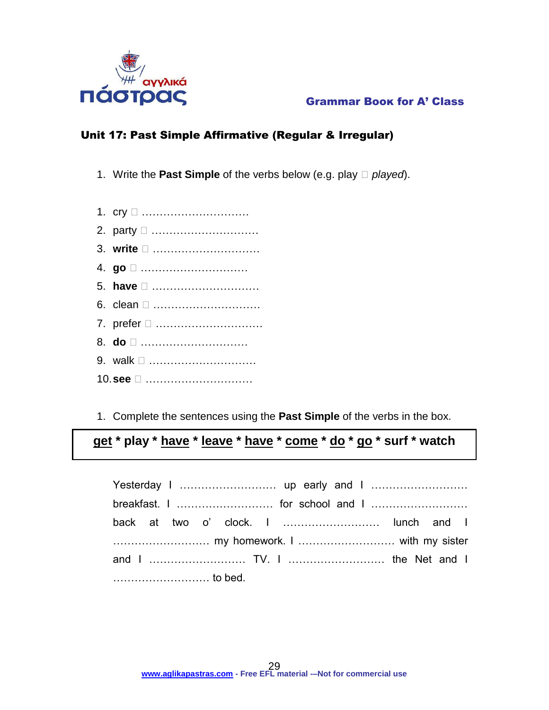

## Unit 17: Past Simple Affirmative (Regular & Irregular)

- 1. Write the **Past Simple** of the verbs below (e.g. play *played*).
- 1. cry □ …………………………
- 2. party …………………………
- 3. **write** …………………………
- 4. **go** …………………………
- 5. **have** …………………………
- 6. clean □ …………………………
- 7. prefer □ …………………………
- 8. **do** …………………………
- 9. walk □ ………………………
- 10.**see** …………………………
- 1. Complete the sentences using the **Past Simple** of the verbs in the box.

## **get \* play \* have \* leave \* have \* come \* do \* go \* surf \* watch**

| back at two o' clock. I  lunch and I |  |  |  |  |  |  |
|--------------------------------------|--|--|--|--|--|--|
|                                      |  |  |  |  |  |  |
|                                      |  |  |  |  |  |  |
|                                      |  |  |  |  |  |  |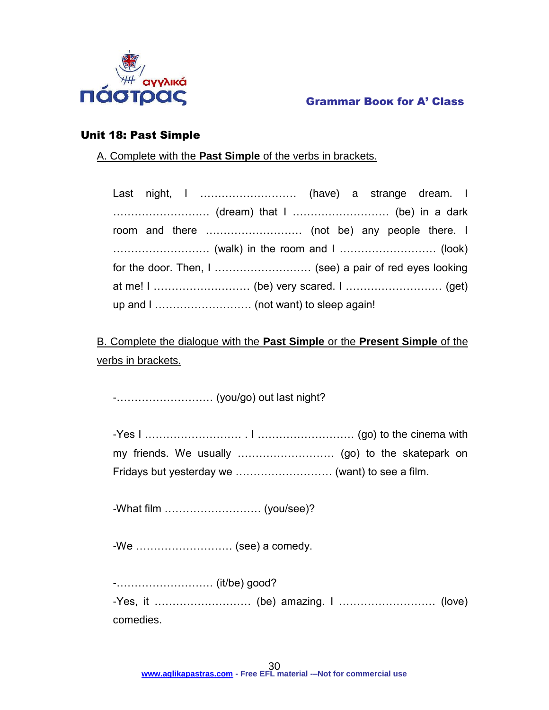

## Unit 18: Past Simple

A. Complete with the **Past Simple** of the verbs in brackets.

| Last night, I  (have) a strange dream. I |  |
|------------------------------------------|--|
|                                          |  |
|                                          |  |
|                                          |  |
|                                          |  |
|                                          |  |
|                                          |  |

B. Complete the dialogue with the **Past Simple** or the **Present Simple** of the verbs in brackets.

-……………………… (you/go) out last night?

-What film ……………………… (you/see)?

-We ……………………… (see) a comedy.

-……………………… (it/be) good? -Yes, it ……………………… (be) amazing. I ……………………… (love) comedies.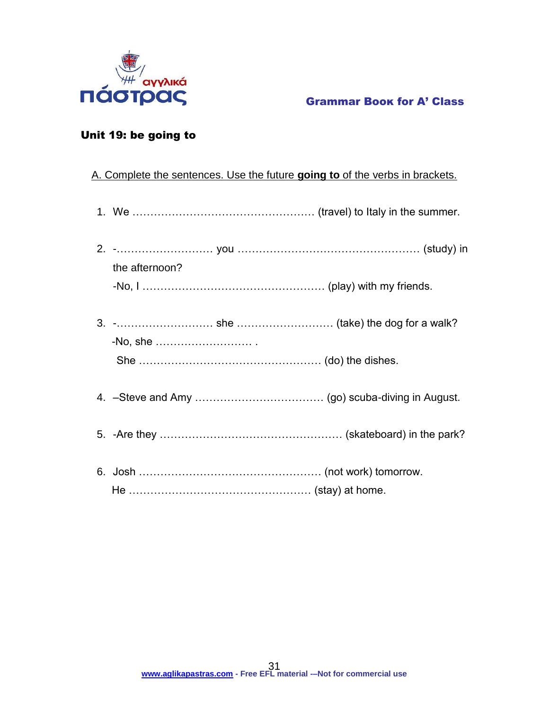

## Unit 19: be going to

## A. Complete the sentences. Use the future **going to** of the verbs in brackets.

|  | the afternoon? |  |  |
|--|----------------|--|--|
|  |                |  |  |
|  |                |  |  |
|  |                |  |  |
|  |                |  |  |
|  |                |  |  |
|  |                |  |  |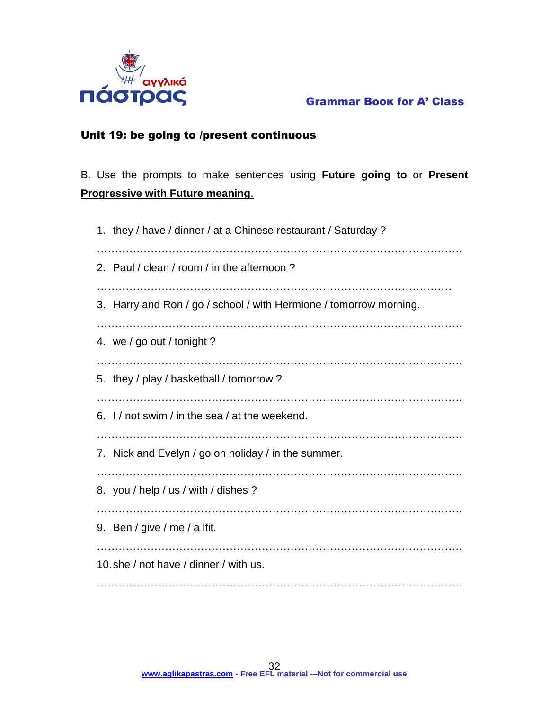

## Unit 19: be going to /present continuous

## B. Use the prompts to make sentences using **Future going to** or **Present Progressive with Future meaning**.

| 1. they / have / dinner / at a Chinese restaurant / Saturday ?     |  |  |  |  |
|--------------------------------------------------------------------|--|--|--|--|
| 2. Paul / clean / room / in the afternoon?                         |  |  |  |  |
| 3. Harry and Ron / go / school / with Hermione / tomorrow morning. |  |  |  |  |
| 4. we / go out / tonight ?                                         |  |  |  |  |
| 5. they / play / basketball / tomorrow?                            |  |  |  |  |
| 6. I / not swim / in the sea / at the weekend.                     |  |  |  |  |
| 7. Nick and Evelyn / go on holiday / in the summer.                |  |  |  |  |
| 8. you / help / us / with / dishes ?                               |  |  |  |  |
| 9. Ben / give / me / a lfit.                                       |  |  |  |  |
| 10, she / not have / dinner / with us.                             |  |  |  |  |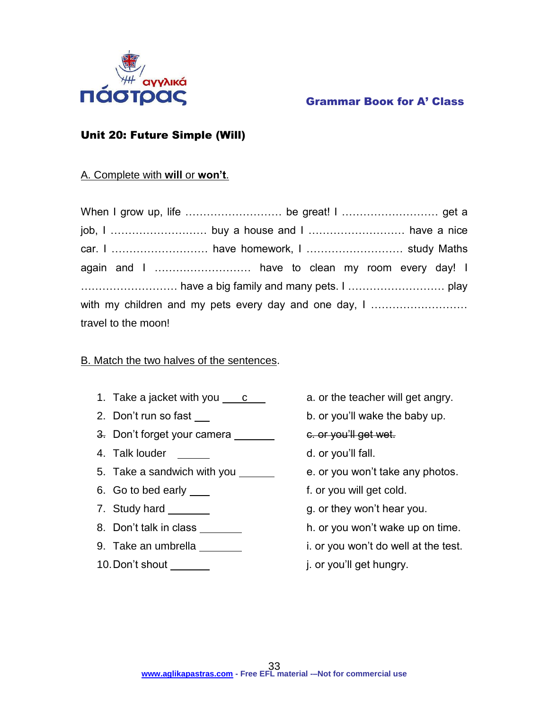

## Unit 20: Future Simple (Will)

## A. Complete with **will** or **won't**.

| with my children and my pets every day and one day, I |  |  |  |  |  |  |
|-------------------------------------------------------|--|--|--|--|--|--|
| travel to the moon!                                   |  |  |  |  |  |  |

## B. Match the two halves of the sentences.

- 1. Take a jacket with you  $\frac{c}{c}$  a. or the teacher will get angry.
- 
- 3. Don't forget your camera \_\_\_\_\_\_\_\_ e. or you'll get wet.
- 4. Talk louder d. or you'll fall.
- 5. Take a sandwich with you e. or you won't take any photos.
- 6. Go to bed early <u>section</u> that is not for you will get cold.
- 
- 
- 
- 10. Don't shout <u>second that it is a second in the second in or you'll get hungry.</u>
- 
- 2. Don't run so fast b. or you'll wake the baby up.
	-
	-
	-
	-
- 7. Study hard **g. or they won't hear you.**
- 8. Don't talk in class example in the set of the or you won't wake up on time.
- 9. Take an umbrella **i. or you won't do well at the test.** 
	-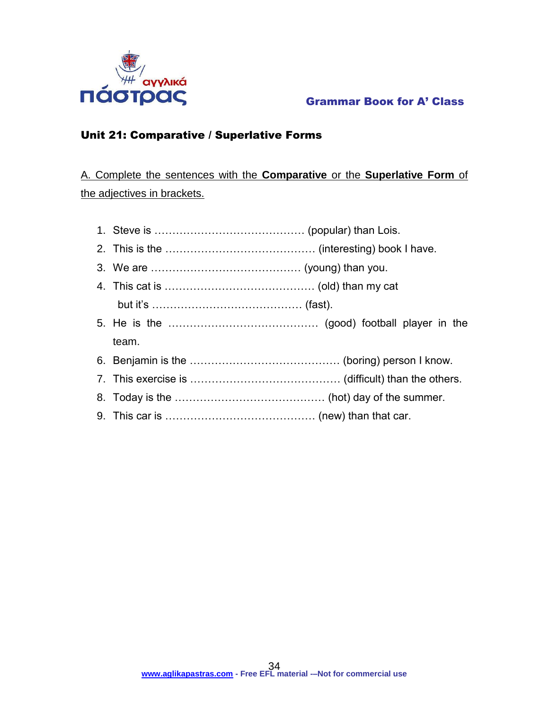

## Unit 21: Comparative / Superlative Forms

A. Complete the sentences with the **Comparative** or the **Superlative Form** of the adjectives in brackets.

- 1. Steve is …………………………………… (popular) than Lois.
- 2. This is the …………………………………… (interesting) book I have.
- 3. We are …………………………………… (young) than you.
- 4. This cat is …………………………………… (old) than my cat but it's …………………………………… (fast).
- 5. He is the …………………………………… (good) football player in the team.
- 6. Benjamin is the …………………………………… (boring) person I know.
- 7. This exercise is …………………………………… (difficult) than the others.
- 8. Today is the …………………………………… (hot) day of the summer.
- 9. This car is …………………………………… (new) than that car.